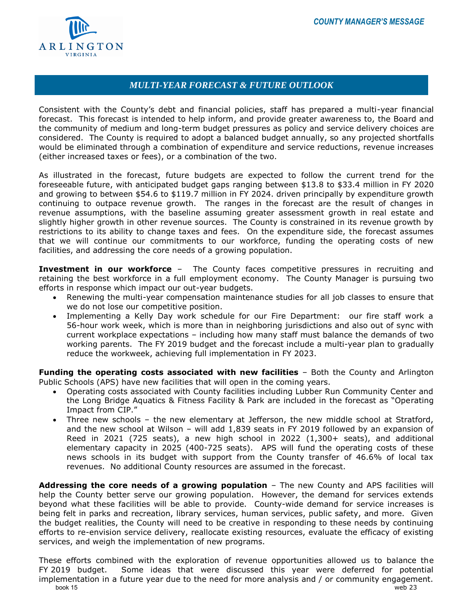

## *MULTI-YEAR FORECAST & FUTURE OUTLOOK*

Consistent with the County's debt and financial policies, staff has prepared a multi-year financial forecast. This forecast is intended to help inform, and provide greater awareness to, the Board and the community of medium and long-term budget pressures as policy and service delivery choices are considered. The County is required to adopt a balanced budget annually, so any projected shortfalls would be eliminated through a combination of expenditure and service reductions, revenue increases (either increased taxes or fees), or a combination of the two.

As illustrated in the forecast, future budgets are expected to follow the current trend for the foreseeable future, with anticipated budget gaps ranging between \$13.8 to \$33.4 million in FY 2020 and growing to between \$54.6 to \$119.7 million in FY 2024. driven principally by expenditure growth continuing to outpace revenue growth. The ranges in the forecast are the result of changes in revenue assumptions, with the baseline assuming greater assessment growth in real estate and slightly higher growth in other revenue sources. The County is constrained in its revenue growth by restrictions to its ability to change taxes and fees. On the expenditure side, the forecast assumes that we will continue our commitments to our workforce, funding the operating costs of new facilities, and addressing the core needs of a growing population.

**Investment in our workforce** – The County faces competitive pressures in recruiting and retaining the best workforce in a full employment economy. The County Manager is pursuing two efforts in response which impact our out-year budgets.

- Renewing the multi-year compensation maintenance studies for all job classes to ensure that we do not lose our competitive position.
- Implementing a Kelly Day work schedule for our Fire Department: our fire staff work a 56-hour work week, which is more than in neighboring jurisdictions and also out of sync with current workplace expectations – including how many staff must balance the demands of two working parents. The FY 2019 budget and the forecast include a multi-year plan to gradually reduce the workweek, achieving full implementation in FY 2023.

**Funding the operating costs associated with new facilities** – Both the County and Arlington Public Schools (APS) have new facilities that will open in the coming years.

- Operating costs associated with County facilities including Lubber Run Community Center and the Long Bridge Aquatics & Fitness Facility & Park are included in the forecast as "Operating Impact from CIP."
- Three new schools the new elementary at Jefferson, the new middle school at Stratford, and the new school at Wilson – will add 1,839 seats in FY 2019 followed by an expansion of Reed in 2021 (725 seats), a new high school in 2022 (1,300+ seats), and additional elementary capacity in 2025 (400-725 seats). APS will fund the operating costs of these news schools in its budget with support from the County transfer of 46.6% of local tax revenues. No additional County resources are assumed in the forecast.

**Addressing the core needs of a growing population** – The new County and APS facilities will help the County better serve our growing population. However, the demand for services extends beyond what these facilities will be able to provide. County-wide demand for service increases is being felt in parks and recreation, library services, human services, public safety, and more. Given the budget realities, the County will need to be creative in responding to these needs by continuing efforts to re-envision service delivery, reallocate existing resources, evaluate the efficacy of existing services, and weigh the implementation of new programs.

These efforts combined with the exploration of revenue opportunities allowed us to balance the FY 2019 budget. Some ideas that were discussed this year were deferred for potential implementation in a future year due to the need for more analysis and / or community engagement.<br><sup>15</sup> web 23 book 15 web 23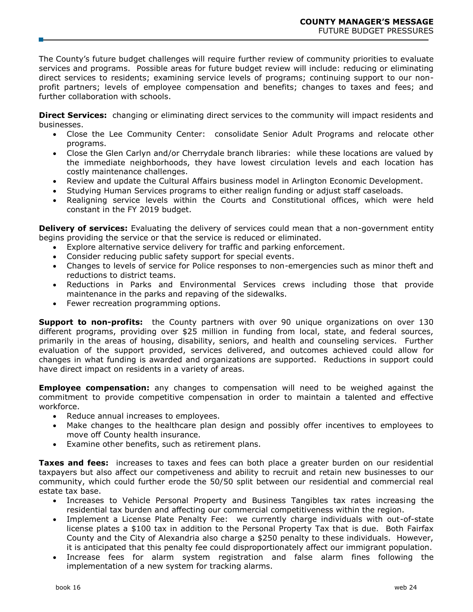The County's future budget challenges will require further review of community priorities to evaluate services and programs. Possible areas for future budget review will include: reducing or eliminating direct services to residents; examining service levels of programs; continuing support to our nonprofit partners; levels of employee compensation and benefits; changes to taxes and fees; and further collaboration with schools.

**Direct Services:** changing or eliminating direct services to the community will impact residents and businesses.

- Close the Lee Community Center: consolidate Senior Adult Programs and relocate other programs.
- Close the Glen Carlyn and/or Cherrydale branch libraries: while these locations are valued by the immediate neighborhoods, they have lowest circulation levels and each location has costly maintenance challenges.
- Review and update the Cultural Affairs business model in Arlington Economic Development.
- Studying Human Services programs to either realign funding or adjust staff caseloads.
- Realigning service levels within the Courts and Constitutional offices, which were held constant in the FY 2019 budget.

**Delivery of services:** Evaluating the delivery of services could mean that a non-government entity begins providing the service or that the service is reduced or eliminated.

- Explore alternative service delivery for traffic and parking enforcement.
- Consider reducing public safety support for special events.
- Changes to levels of service for Police responses to non-emergencies such as minor theft and reductions to district teams.
- Reductions in Parks and Environmental Services crews including those that provide maintenance in the parks and repaving of the sidewalks.
- Fewer recreation programming options.

**Support to non-profits:** the County partners with over 90 unique organizations on over 130 different programs, providing over \$25 million in funding from local, state, and federal sources, primarily in the areas of housing, disability, seniors, and health and counseling services. Further evaluation of the support provided, services delivered, and outcomes achieved could allow for changes in what funding is awarded and organizations are supported. Reductions in support could have direct impact on residents in a variety of areas.

**Employee compensation:** any changes to compensation will need to be weighed against the commitment to provide competitive compensation in order to maintain a talented and effective workforce.

- Reduce annual increases to employees.
- Make changes to the healthcare plan design and possibly offer incentives to employees to move off County health insurance.
- Examine other benefits, such as retirement plans.

**Taxes and fees:** increases to taxes and fees can both place a greater burden on our residential taxpayers but also affect our competiveness and ability to recruit and retain new businesses to our community, which could further erode the 50/50 split between our residential and commercial real estate tax base.

- Increases to Vehicle Personal Property and Business Tangibles tax rates increasing the residential tax burden and affecting our commercial competitiveness within the region.
- Implement a License Plate Penalty Fee: we currently charge individuals with out-of-state license plates a \$100 tax in addition to the Personal Property Tax that is due. Both Fairfax County and the City of Alexandria also charge a \$250 penalty to these individuals. However, it is anticipated that this penalty fee could disproportionately affect our immigrant population.
- Increase fees for alarm system registration and false alarm fines following the implementation of a new system for tracking alarms.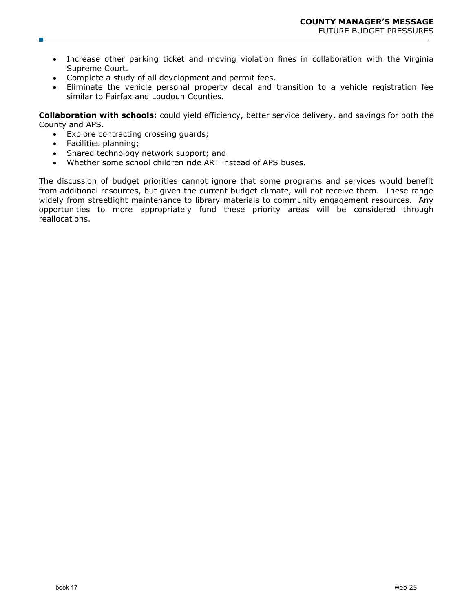- Increase other parking ticket and moving violation fines in collaboration with the Virginia Supreme Court.
- Complete a study of all development and permit fees.
- Eliminate the vehicle personal property decal and transition to a vehicle registration fee similar to Fairfax and Loudoun Counties.

**Collaboration with schools:** could yield efficiency, better service delivery, and savings for both the County and APS.

- Explore contracting crossing guards;
- Facilities planning;
- Shared technology network support; and
- Whether some school children ride ART instead of APS buses.

The discussion of budget priorities cannot ignore that some programs and services would benefit from additional resources, but given the current budget climate, will not receive them. These range widely from streetlight maintenance to library materials to community engagement resources. Any opportunities to more appropriately fund these priority areas will be considered through reallocations.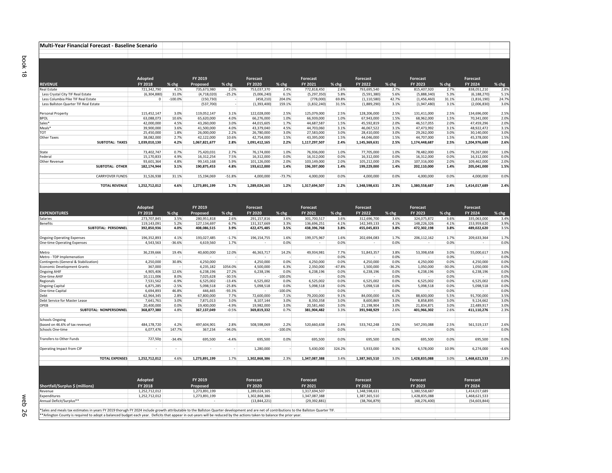| Multi-Year Financial Forecast - Baseline Scenario |                             |              |                             |                 |                             |              |                             |              |                             |              |                             |              |                             |                                      |
|---------------------------------------------------|-----------------------------|--------------|-----------------------------|-----------------|-----------------------------|--------------|-----------------------------|--------------|-----------------------------|--------------|-----------------------------|--------------|-----------------------------|--------------------------------------|
|                                                   |                             |              |                             |                 |                             |              |                             |              |                             |              |                             |              |                             |                                      |
| <b>REVENUE</b>                                    | Adopted<br>FY 2018          | % chg        | FY 2019<br>Proposed         | % chg           | Forecast<br>FY 2020         | % chg        | Forecast<br>FY 2021         | % chg        | Forecast<br>FY 2022         | % chg        | Forecast<br>FY 2023         | % chg        | Forecast<br>FY 2024         | % chg                                |
| Real Estate                                       | 721,342,790                 | 4.1%         | 735,673,980                 | 2.0%            | 753,037,370                 | 2.4%         | 772,818,450                 | 2.6%         | 793,695,540                 | 2.7%         | 815,407,920                 | 2.7%         | 838,051,210                 | 2.8%                                 |
| Less Crystal City TIF Real Estate                 | (6,304,880)                 | 31.0%        | (4,718,020)                 | $-25.2%$        | (5,006,240)                 | 6.1%         | (5, 297, 350)               | 5.8%         | (5,591,380)                 | 5.6%         | (5,888,340)                 | 5.3%         | (6, 188, 270)               | 5.1%                                 |
| Less Columbia Pike TIF Real Estate                | $^{\circ}$                  | $-100.0%$    | (150, 730)                  |                 | (458, 210)                  | 204.0%       | (778,000)                   | 69.8%        | (1, 110, 580)               | 42.7%        | (1, 456, 460)               | 31.1%        | (1,816,190)                 | 24.7%                                |
| Less Ballston Quarter TIF Real Estate             |                             |              | (537,700)                   |                 | (1,393,400)                 | 159.1%       | (1,832,240)                 | 31.5%        | (1,889,290)                 | 3.1%         | (1,947,480)                 | 3.1%         | (2,006,830)                 | 3.0%                                 |
|                                                   |                             |              |                             |                 |                             |              |                             |              |                             |              |                             |              |                             |                                      |
| Personal Property                                 | 115,452,147                 | 3.0%         | 119,052,147                 | 3.1%            | 122,028,000                 | 2.5%         | 125,079,000                 | 2.5%         | 128,206,000                 | 2.5%         | 131,411,000                 | 2.5%         | 134,696,000                 | 2.5%                                 |
| <b>BPOL</b>                                       | 63,088,073                  | 10.6%        | 65.620.000                  | 4.0%            | 66,276,000                  | 1.0%         | 66,939,000                  | 1.0%         | 67,943,000                  | 1.5%         | 68,962,000                  | 1.5%         | 70,341,000                  | 2.0%                                 |
| Sales*                                            | 42,000,000                  | 4.5%         | 43,260,000                  | 3.0%            | 44,015,605                  | 1.7%         | 44,687,587                  | 1.5%         | 45,592,819                  | 2.0%         | 46,517,055                  | 2.0%         | 47,459,296                  | 2.0%                                 |
| Meals <sup>*</sup>                                | 39,900,000                  | 3.6%         | 41,500,000                  | 4.0%            | 43,379,040                  | 4.5%         | 44,703,060                  | 3.1%         | 46,067,522                  | 3.1%         | 47,473,992                  | 3.1%         | 48,922,472                  | 3.1%                                 |
| тот                                               | 25,450,000                  | 1.8%         | 26,000,000                  | 2.2%            | 26,780,000                  | 3.0%         | 27,583,000                  | 3.0%         | 28,410,000                  | 3.0%         | 29,262,000                  | 3.0%         | 30,140,000                  | 3.0%                                 |
| Other Taxes<br><b>SUBTOTAL: TAXES</b>             | 38,082,000<br>1,039,010,130 | 2.7%<br>4.2% | 42,122,000<br>1,067,821,677 | 10.6%<br>2.8%   | 42,754,000<br>1,091,412,165 | 1.5%<br>2.2% | 43,395,000<br>1,117,297,507 | 1.5%<br>2.4% | 44,046,000<br>1,145,369,631 | 1.5%<br>2.5% | 44,707,000<br>1,174,448,687 | 1.5%<br>2.5% | 45,378,000<br>1,204,976,689 | 1.5%<br>2.6%                         |
|                                                   |                             |              |                             |                 |                             |              |                             |              |                             |              |                             |              |                             |                                      |
| State                                             | 73,402,747                  | 0.7%         | 75,420,031                  | 2.7%            | 76,174,000                  | 1.0%         | 76,936,000                  | 1.0%         | 77,705,000                  | 1.0%         | 78,482,000                  | 1.0%         | 79,267,000                  | 1.0%                                 |
| Federal                                           | 15,170,833                  | 4.9%         | 16,312,254                  | 7.5%            | 16,312,000                  | 0.0%         | 16,312,000                  | 0.0%         | 16,312,000                  | 0.0%         | 16,312,000                  | 0.0%         | 16,312,000                  | 0.0%                                 |
| Other Revenue                                     | 93,601,364                  | 4.8%         | 99,143,168                  | 5.9%            | 101,126,000                 | 2.0%         | 103,149,000                 | 2.0%         | 105,212,000                 | 2.0%         | 107,316,000                 | 2.0%         | 109,462,000                 | 2.0%                                 |
| <b>SUBTOTAL: OTHER</b>                            | 182,174,944                 | 3.1%         | 190,875,453                 | 4.8%            | 193,612,000                 | 1.4%         | 196,397,000                 | 1.4%         | 199,229,000                 | 1.4%         | 202,110,000                 | 1.4%         | 205,041,000                 | 1.5%                                 |
|                                                   |                             |              |                             |                 |                             |              |                             |              |                             |              |                             |              |                             |                                      |
| <b>CARRYOVER FUNDS</b>                            | 31,526,938                  | 31.1%        | 15,194,069                  | $-51.8%$        | 4,000,000                   | $-73.7%$     | 4,000,000                   | 0.0%         | 4,000,000                   | 0.0%         | 4,000,000                   | 0.0%         | 4,000,000                   | 0.0%                                 |
| <b>TOTAL REVENUE</b>                              | 1,252,712,012               | 4.6%         | 1,273,891,199               | 1.7%            | 1,289,024,165               | 1.2%         | 1,317,694,507               | 2.2%         | 1,348,598,631               | 2.3%         | 1,380,558,687               | 2.4%         | 1,414,017,689               | 2.4%                                 |
|                                                   |                             |              |                             |                 |                             |              |                             |              |                             |              |                             |              |                             |                                      |
|                                                   | Adopted                     |              | FY 2019                     |                 | Forecast                    |              | Forecast                    |              | Forecast                    |              | Forecast                    |              | Forecast                    |                                      |
|                                                   |                             |              |                             |                 |                             |              |                             |              |                             |              |                             |              |                             |                                      |
| <b>EXPENDITURES</b>                               | FY 2018                     | % chg        | Proposed                    | % chg           | FY 2020                     | % chg        | FY 2021                     | % chg        | FY 2022                     | % chg        | FY 2023                     | % chg        | FY 2024                     | % chg                                |
| Salaries                                          | 273,707,845                 | 3.5%         | 280,951,818                 | 2.6%            | 291,157,816                 | 3.6%         | 301,700,517                 | 3.6%         | 312,696,700                 | 3.6%         | 324,075,872                 | 3.6%         | 335,063,000                 | 3.4%                                 |
| Benefits                                          | 119,143,091                 | 5.2%         | 127,134,697                 | 6.7%            | 131,317,669                 | 3.3%         | 136,696,251                 | 4.1%         | 142,349,133                 | 4.1%         | 148,226,326                 | 4.1%         | 153,959,620                 | 3.9%                                 |
| SUBTOTAL: PERSONNEL                               | 392,850,936                 | 4.0%         | 408,086,515                 | 3.9%            | 422,475,485                 | 3.5%         | 438,396,768                 | 3.8%         | 455,045,833                 | 3.8%         | 472,302,198                 | 3.8%         | 489,022,620                 | 3.5%                                 |
|                                                   |                             |              |                             |                 |                             |              |                             |              |                             |              |                             |              |                             |                                      |
| <b>Ongoing Operating Expenses</b>                 | 196,352,893                 | 4.1%         | 193,027,485                 | $-1.7%$         | 196,154,755                 | 1.6%         | 199,375,967                 | 1.6%         | 202,694,083                 | 1.7%         | 206,112,162                 | 1.7%         | 209,633,364                 | 1.7%                                 |
| <b>One-time Operating Expenses</b>                | 4,543,563                   | $-36.6%$     | 4,619,560                   | 1.7%            |                             | 0.0%         |                             | 0.0%         |                             | 0.0%         |                             | 0.0%         |                             | 0.0%                                 |
| Metro                                             | 36,239,666                  | 19.4%        | 40,600,000                  |                 | 46,363,717                  | 14.2%        | 49,934,981                  | 7.7%         | 51,843,357                  | 3.8%         | 53,398,658                  |              | 55,000,617                  | 3.0%                                 |
| Metro - TDP Implemenation                         |                             |              |                             | 12.0%           |                             |              |                             | 0.0%         |                             | 0.0%         |                             | 3.0%<br>0.0% |                             | 0.0%                                 |
|                                                   |                             |              |                             |                 |                             | 0.0%         | 4,250,000                   | 0.0%         | 4,250,000                   | 0.0%         | 4,250,000                   | 0.0%         | 4,250,000                   | 0.0%                                 |
|                                                   |                             |              |                             |                 |                             |              |                             |              |                             |              |                             |              |                             |                                      |
| Contingents (General & Stabilization)             | 4,250,000                   | 30.8%        | 4,250,000                   |                 | 4,250,000                   |              |                             |              |                             |              |                             |              |                             |                                      |
| <b>Economic Development Grants</b>                | 367,000                     |              | 4,235,182                   | 1054.0%         | 4,500,000                   | 6.3%         | 2,350,000                   | -47.8%       | 1,500,000                   | $-36.2%$     | 1,050,000                   | $-30.0%$     | 1,050,000                   |                                      |
| <b>Ongoing AHIF</b>                               | 4,905,406                   | 12.6%        | 6,238,196                   | 27.2%           | 6,238,196                   | 0.0%         | 6,238,196                   | 0.0%         | 6,238,196                   | 0.0%         | 6,238,196                   | 0.0%         | 6,238,196                   |                                      |
| One-time AHIF                                     | 10,111,006                  | 8.0%         | 7,025,628                   | $-30.5%$        |                             | $-100.0%$    |                             | 0.0%         |                             | 0.0%         |                             | 0.0%         |                             |                                      |
| Regionals                                         | 7,531,562                   | $-6.9%$      | 6,525,002                   | $-13.4%$        | 6,525,002                   | 0.0%         | 6,525,002                   | 0.0%         | 6,525,002                   | 0.0%         | 6,525,002                   | 0.0%         | 6,525,002                   |                                      |
| <b>Ongoing Capital</b>                            | 6,875,285                   | $-2.5%$      | 5,098,518                   | $-25.8%$        | 5,098,518                   | 0.0%         | 5,098,518                   | 0.0%         | 5,098,518                   | 0.0%         | 5,098,518                   | 0.0%         | 5,098,518                   | 0.0%<br>0.0%<br>0.0%<br>0.0%<br>0.0% |
| One-time Capital                                  | 6,694,893                   | 46.8%        | 446,465                     | $-93.3%$        |                             | $-100.0%$    |                             | 0.0%         |                             | 0.0%         |                             | 0.0%         |                             | 0.0%                                 |
| Debt                                              | 62,964,345                  | 2.8%         | 67,800,000                  | 7.7%            | 72,600,000                  | 7.1%         | 79,200,000                  | 9.1%         | 84,000,000                  | 6.1%         | 88,600,000                  | 5.5%         | 91,700,000                  | 3.5%                                 |
| Debt Service for Master Lease                     | 7,641,761                   | 3.0%         | 7,871,013                   | 3.0%<br>$-4.9%$ | 8,107,144                   | 3.0%         | 8,350,358                   | 3.0%         | 8,600,869                   | 3.0%<br>3.0% | 8,858,895                   | 3.0%         | 9,124,662                   | 3.0%                                 |
| OPEB<br>SUBTOTAL: NONPERSONNEL                    | 20,400,000                  | 0.0%         | 19,400,000                  |                 | 19,982,000                  | 3.0%         | 20,581,460                  | 3.0%         | 21,198,904                  |              | 21,834,871                  | 3.0%         | 22,489,917                  | 3.0%                                 |
|                                                   | 368,877,380                 | 4.8%         | 367,137,049                 | $-0.5%$         | 369,819,332                 | 0.7%         | 381,904,482                 | 3.3%         | 391,948,929                 | 2.6%         | 401,966,302                 | 2.6%         | 411,110,276                 | 2.3%                                 |
| <b>Schools Ongoing</b>                            |                             |              |                             |                 |                             |              |                             |              |                             |              |                             |              |                             |                                      |
| (based on 46.6% of tax revenue)                   | 484,178,720                 | 4.2%         | 497,604,901                 | 2.8%            | 508,598,069                 | 2.2%         | 520,660,638                 | 2.4%         | 533,742,248                 | 2.5%         | 547,293,088                 | 2.5%         | 561,519,137                 | 2.6%                                 |
| Schools One-time                                  | 6,077,476                   | 147.7%       | 367,234                     | $-94.0%$        |                             | $-100.0%$    |                             | 0.0%         |                             | 0.0%         |                             | 0.0%         |                             | 0.0%                                 |
| Transfers to Other Funds                          | 727,500                     | $-34.4%$     | 695,500                     | $-4.4%$         | 695,500                     | 0.0%         | 695,500                     | 0.0%         | 695,500                     | 0.0%         | 695,500                     | 0.0%         | 695,500                     | 0.0%                                 |
|                                                   |                             |              |                             |                 |                             |              |                             |              |                             |              |                             |              |                             |                                      |
| Operating Impact from CIP                         |                             |              |                             |                 | 1,280,000                   |              | 5,430,000                   | 324.2%       | 5,933,000                   | 9.3%         | 6,578,000                   | 10.9%        | 6,274,000                   | $-4.6%$                              |
| <b>TOTAL EXPENSES</b>                             | 1,252,712,012               | 4.6%         | 1,273,891,199               | 1.7%            | 1,302,868,386               | 2.3%         | 1,347,087,388               | 3.4%         | 1,387,365,510               | 3.0%         | 1,428,835,088               | 3.0%         | 1,468,621,533               | 2.8%                                 |
|                                                   |                             |              |                             |                 |                             |              |                             |              |                             |              |                             |              |                             |                                      |
|                                                   | Adopted                     |              | FY 2019                     |                 | <b>Forecast</b>             |              | <b>Forecast</b>             |              | Forecast                    |              | Forecast                    |              | Forecast                    |                                      |
| Shortfall/Surplus \$ (millions)                   | FY 2018                     |              | Proposed                    |                 | FY 2020                     |              | FY 2021                     |              | FY 2022                     |              | FY 2023                     |              | FY 2024                     |                                      |
| Revenue                                           | 1,252,712,012               |              | 1,273,891,199               |                 | 1,289,024,165               |              | 1,317,694,507               |              | 1,348,598,631               |              | 1,380,558,687               |              | 1,414,017,689               |                                      |
| Expenditures                                      | 1,252,712,012               |              | 1,273,891,199               |                 | 1,302,868,386               |              | 1,347,087,388               |              | 1,387,365,510               |              | 1,428,835,088               |              | 1,468,621,533               |                                      |
| Annual Deficit/Surplus**                          |                             |              |                             |                 | (13,844,221)                |              | (29, 392, 881)              |              | (38, 766, 879)              |              | (48, 276, 400)              |              | (54, 603, 844)              |                                      |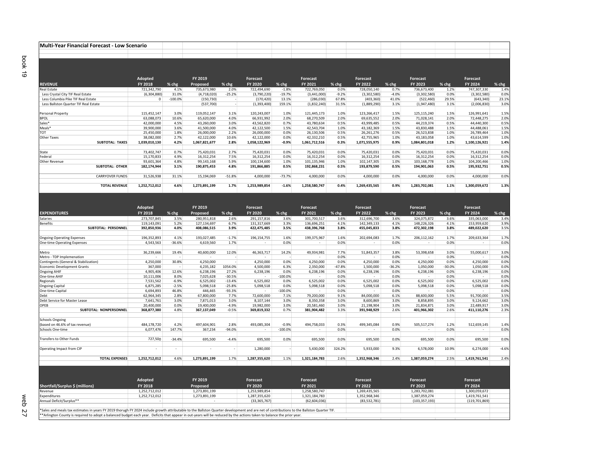|                                       | Adopted       |           | FY 2019       |          | Forecast      |          | <b>Forecast</b> |         | Forecast      |         | Forecast      |       | Forecast      |         |
|---------------------------------------|---------------|-----------|---------------|----------|---------------|----------|-----------------|---------|---------------|---------|---------------|-------|---------------|---------|
| <b>REVENUE</b>                        | FY 2018       | % chg     | Proposed      | % chg    | FY 2020       | % chg    | FY 2021         | % chg   | FY 2022       | % chg   | FY 2023       | % chg | FY 2024       | $%$ chg |
| Real Estate                           | 721,342,790   | 4.1%      | 735,673,980   | 2.0%     | 722.494.690   | $-1.8%$  | 722,769,050     | 0.0%    | 728,050,140   | 0.7%    | 736,673,400   | 1.2%  | 747,307,330   | 1.4%    |
| Less Crystal City TIF Real Estate     | (6,304,880)   | 31.0%     | (4,718,020)   | $-25.2%$ | (3,790,220)   | $-19.7%$ | (3,441,000)     | $-9.2%$ | (3,302,580)   | $-4.0%$ | (3,302,580)   | 0.0%  | (3,302,580)   | 0.0%    |
| Less Columbia Pike TIF Real Estate    | $\mathbf 0$   | $-100.0%$ | (150, 730)    |          | (170, 420)    | 13.1%    | (286, 030)      | 67.8%   | (403, 360)    | 41.0%   | (522, 460)    | 29.5% | (643, 340)    | 23.1%   |
| Less Ballston Quarter TIF Real Estate |               |           | (537,700)     |          | (1,393,400)   | 159.1%   | (1,832,240)     | 31.5%   | (1,889,290)   | 3.1%    | (1,947,480)   | 3.1%  | (2,006,830)   | 3.0%    |
| Personal Property                     | 115,452,147   | 3.0%      | 119,052,147   | 3.1%     | 120,243,007   | 1.0%     | 121,445,173     | 1.0%    | 123,266,417   | 1.5%    | 125,115,240   | 1.5%  | 126,991,641   | 1.5%    |
| <b>BPOL</b>                           | 63,088,073    | 10.6%     | 65,620,000    | 4.0%     | 66,931,992    | 2.0%     | 68,270,509      | 2.0%    | 69,635,552    | 2.0%    | 71,028,141    | 2.0%  | 72,448,275    | 2.0%    |
| Sales*                                | 42,000,000    | 4.5%      | 43.260.000    | 3.0%     | 43.562.820    | 0.7%     | 43.780.634      | 0.5%    | 43.999.485    | 0.5%    | 44.219.374    | 0.5%  | 44.440.300    | 0.5%    |
| Meals*                                | 39,900,000    | 3.6%      | 41.500.000    | 4.0%     | 42,122,500    | 1.5%     | 42,543,704      | 1.0%    | 43,182,369    | 1.5%    | 43.830.488    | 1.5%  | 44,488,061    | 1.5%    |
| <b>TOT</b>                            | 25,450,000    | 1.8%      | 26,000,000    | 2.2%     | 26,000,000    | 0.0%     | 26,130,506      | 0.5%    | 26,261,276    | 0.5%    | 26,523,838    | 1.0%  | 26,789,464    | 1.0%    |
| <b>Other Taxes</b>                    | 38,082,000    | 2.7%      | 42.122.000    | 10.6%    | 42.122.000    | 0.0%     | 42,332,210      | 0.5%    | 42,755,965    | 1.0%    | 43.183.058    | 1.0%  | 43,614,599    | 1.0%    |
| <b>SUBTOTAL: TAXES</b>                | 1,039,010,130 | 4.2%      | 1,067,821,677 | 2.8%     | 1.058.122.969 | $-0.9%$  | 1.061.712.516   | 0.3%    | 1,071,555,975 | 0.9%    | 1.084.801.018 | 1.2%  | 1,100,126,921 | 1.4%    |
| State                                 | 73,402,747    | 0.7%      | 75.420.031    | 2.7%     | 75,420,031    | 0.0%     | 75.420.031      | 0.0%    | 75,420,031    | 0.0%    | 75.420.031    | 0.0%  | 75,420,031    | 0.0%    |
| Federal                               | 15,170,833    | 4.9%      | 16.312.254    | 7.5%     | 16.312.254    | 0.0%     | 16.312.254      | 0.0%    | 16.312.254    | 0.0%    | 16.312.254    | 0.0%  | 16.312.254    | 0.0%    |
| Other Revenue                         | 93.601.364    | 4.8%      | 99.143.168    | 5.9%     | 100.134.600   | 1.0%     | 101.135.946     | 1.0%    | 102.147.305   | 1.0%    | 103.168.778   | 1.0%  | 104.200.466   | 1.0%    |
| <b>SUBTOTAL: OTHER</b>                | 182,174,944   | 3.1%      | 190,875,453   | 4.8%     | 191,866,885   | 0.5%     | 192,868,231     | 0.5%    | 193,879,590   | 0.5%    | 194,901,063   | 0.5%  | 195,932,751   | 0.5%    |
| <b>CARRYOVER FUNDS</b>                | 31,526,938    | 31.1%     | 15,194,069    | $-51.8%$ | 4,000,000     | $-73.7%$ | 4,000,000       | 0.0%    | 4,000,000     | 0.0%    | 4,000,000     | 0.0%  | 4,000,000     | 0.0%    |
| <b>TOTAL REVENUE</b>                  | 1,252,712,012 | 4.6%      | 1,273,891,199 | 1.7%     | 1,253,989,854 | $-1.6%$  | 1,258,580,747   | 0.4%    | 1,269,435,565 | 0.9%    | 1,283,702,081 | 1.1%  | 1,300,059,672 | 1.3%    |

\*Sales and meals tax estimates in years FY 2019 thorugh FY 2024 include growth attributable to the Ballston Quarter development and are net of contributions to the Ballston Quarter TIF.

\*Arlington County is required to adopt a balanced budget each year. Deficits that appear in out‐years will be reduced by the actions taken to balance the prior year.

**Multi‐Year Financial Forecast ‐ Low Scenario**

|                                       | Adopted       |          | FY 2019       |          | Forecast      |           | Forecast      |          | Forecast      |          | Forecast      |          | Forecast      |         |
|---------------------------------------|---------------|----------|---------------|----------|---------------|-----------|---------------|----------|---------------|----------|---------------|----------|---------------|---------|
| <b>EXPENDITURES</b>                   | FY 2018       | % chg    | Proposed      | % chg    | FY 2020       | % chg     | FY 2021       | % chg    | FY 2022       | $%$ chg  | FY 2023       | % chg    | FY 2024       | % chg   |
| <b>Salaries</b>                       | 273,707,845   | 3.5%     | 280.951.818   | 2.6%     | 291.157.816   | 3.6%      | 301,700,517   | 3.6%     | 312.696.700   | 3.6%     | 324,075,872   | 3.6%     | 335,063,000   | 3.4%    |
| <b>Benefits</b>                       | 119,143,091   | 5.2%     | 127.134.697   | 6.7%     | 131,317,669   | 3.3%      | 136.696.251   | 4.1%     | 142.349.133   | 4.1%     | 148,226,326   | 4.1%     | 153,959,620   | 3.9%    |
| <b>SUBTOTAL: PERSONNEL</b>            | 392,850,936   | 4.0%     | 408,086,515   | 3.9%     | 422,475,485   | 3.5%      | 438,396,768   | 3.8%     | 455,045,833   | 3.8%     | 472,302,198   | 3.8%     | 489,022,620   | 3.5%    |
| <b>Ongoing Operating Expenses</b>     | 196,352,893   | 4.1%     | 193,027,485   | $-1.7%$  | 196,154,755   | 1.6%      | 199,375,967   | 1.6%     | 202.694.083   | 1.7%     | 206,112,162   | 1.7%     | 209,633,364   | 1.7%    |
| <b>One-time Operating Expenses</b>    | 4,543,563     | $-36.6%$ | 4,619,560     | 1.7%     | $\sim$        | 0.0%      |               | 0.0%     | $\sim$        | 0.0%     | $\sim$        | 0.0%     |               | 0.0%    |
| Metro                                 | 36,239,666    | 19.4%    | 40,600,000    | 12.0%    | 46,363,717    | 14.2%     | 49,934,981    | 7.7%     | 51,843,357    | 3.8%     | 53,398,658    | 3.0%     | 55,000,617    | 3.0%    |
| Metro - TDP Implemenation             |               |          |               |          |               | $\sim$    |               | 0.0%     |               | 0.0%     |               | 0.0%     |               | 0.0%    |
| Contingents (General & Stabilization) | 4.250.000     | 30.8%    | 4.250.000     |          | 4.250.000     | 0.0%      | 4.250.000     | 0.0%     | 4.250.000     | 0.0%     | 4.250.000     | 0.0%     | 4.250.000     | 0.0%    |
| <b>Economic Development Grants</b>    | 367,000       |          | 4,235,182     | 1054.0%  | 4,500,000     | 6.3%      | 2,350,000     | $-47.8%$ | 1,500,000     | $-36.2%$ | 1,050,000     | $-30.0%$ | 1,050,000     | 0.0%    |
| <b>Ongoing AHIF</b>                   | 4,905,406     | 12.6%    | 6,238,196     | 27.2%    | 6,238,196     | 0.0%      | 6,238,196     | 0.0%     | 6,238,196     | 0.0%     | 6,238,196     | 0.0%     | 6,238,196     | 0.0%    |
| One-time AHIF                         | 10,111,006    | 8.0%     | 7,025,628     | $-30.5%$ | $\sim$        | $-100.0%$ | $\sim$        | 0.0%     | $\sim$        | 0.0%     | $\sim$        | 0.0%     | $\sim$        | 0.0%    |
| Regionals                             | 7,531,562     | $-6.9%$  | 6,525,002     | $-13.4%$ | 6,525,002     | 0.0%      | 6,525,002     | 0.0%     | 6,525,002     | 0.0%     | 6,525,002     | 0.0%     | 6,525,002     | 0.0%    |
| <b>Ongoing Capital</b>                | 6,875,285     | $-2.5%$  | 5,098,518     | $-25.8%$ | 5,098,518     | 0.0%      | 5,098,518     | 0.0%     | 5,098,518     | 0.0%     | 5,098,518     | 0.0%     | 5,098,518     | 0.0%    |
| One-time Capital                      | 6,694,893     | 46.8%    | 446,465       | $-93.3%$ | $\sim$        | $-100.0%$ | $\sim$        | 0.0%     | $\sim$        | 0.0%     | $\sim$        | 0.0%     | $\sim$        | 0.0%    |
| Debt                                  | 62,964,345    | 2.8%     | 67,800,000    | 7.7%     | 72,600,000    | 7.1%      | 79,200,000    | 9.1%     | 84,000,000    | 6.1%     | 88,600,000    | 5.5%     | 91,700,000    | 3.5%    |
| Debt Service for Master Lease         | 7,641,761     | 3.0%     | 7,871,013     | 3.0%     | 8.107.144     | 3.0%      | 8,350,358     | 3.0%     | 8,600,869     | 3.0%     | 8,858,895     | 3.0%     | 9,124,662     | 3.0%    |
| OPEB                                  | 20,400,000    | 0.0%     | 19,400,000    | $-4.9%$  | 19,982,000    | 3.0%      | 20,581,460    | 3.0%     | 21.198.904    | 3.0%     | 21,834,871    | 3.0%     | 22,489,917    | 3.0%    |
| SUBTOTAL: NONPERSONNEL                | 368,877,380   | 4.8%     | 367,137,049   | $-0.5%$  | 369,819,332   | 0.7%      | 381,904,482   | 3.3%     | 391,948,929   | 2.6%     | 401,966,302   | 2.6%     | 411,110,276   | 2.3%    |
| <b>Schools Ongoing</b>                |               |          |               |          |               |           |               |          |               |          |               |          |               |         |
| (based on 46.6% of tax revenue)       | 484,178,720   | 4.2%     | 497,604,901   | 2.8%     | 493,085,304   | $-0.9%$   | 494,758,033   | 0.3%     | 499,345,084   | 0.9%     | 505,517,274   | 1.2%     | 512,659,145   | 1.4%    |
| Schools One-time                      | 6,077,476     | 147.7%   | 367,234       | $-94.0%$ |               | $-100.0%$ |               | 0.0%     |               | 0.0%     | $\sim$        | 0.0%     |               | 0.0%    |
| <b>Transfers to Other Funds</b>       | 727.500       | $-34.4%$ | 695,500       | $-4.4%$  | 695,500       | 0.0%      | 695.500       | 0.0%     | 695,500       | 0.0%     | 695.500       | 0.0%     | 695.500       | 0.0%    |
| Operating Impact from CIP             | $\sim$        | $\sim$   | $\sim$        |          | 1,280,000     | шł,       | 5,430,000     | 324.2%   | 5,933,000     | 9.3%     | 6,578,000     | 10.9%    | 6,274,000     | $-4.6%$ |
| <b>TOTAL EXPENSES</b>                 | 1,252,712,012 | 4.6%     | 1,273,891,199 | 1.7%     | 1,287,355,620 | 1.1%      | 1,321,184,783 | 2.6%     | 1,352,968,346 | 2.4%     | 1,387,059,274 | 2.5%     | 1,419,761,541 | 2.4%    |
|                                       |               |          |               |          |               |           |               |          |               |          |               |          |               |         |
|                                       |               |          |               |          |               |           |               |          |               |          |               |          |               |         |
|                                       | Adopted       |          | FY 2019       |          | Forecast      |           | Forecast      |          | Forecast      |          | Forecast      |          | Forecast      |         |
| Shortfall/Surplus \$ (millions)       | FY 2018       |          | Proposed      |          | FY 2020       |           | FY 2021       |          | FY 2022       |          | FY 2023       |          | FY 2024       |         |
| Revenue                               | 1.252.712.012 |          | 1.273.891.199 |          | 1.253.989.854 |           | 1,258,580,747 |          | 1.269.435.565 |          | 1.283.702.081 |          | 1,300,059,672 |         |
| Expenditures                          | 1,252,712,012 |          | 1,273,891,199 |          | 1,287,355,620 |           | 1,321,184,783 |          | 1,352,968,346 |          | 1,387,059,274 |          | 1,419,761,541 |         |

Deficit/Surplus\*\* ‐ ‐ (33,365,767) (62,604,036) (83,532,781) (103,357,193) (119,701,869)

Annual Deficit/Surplus\*\*